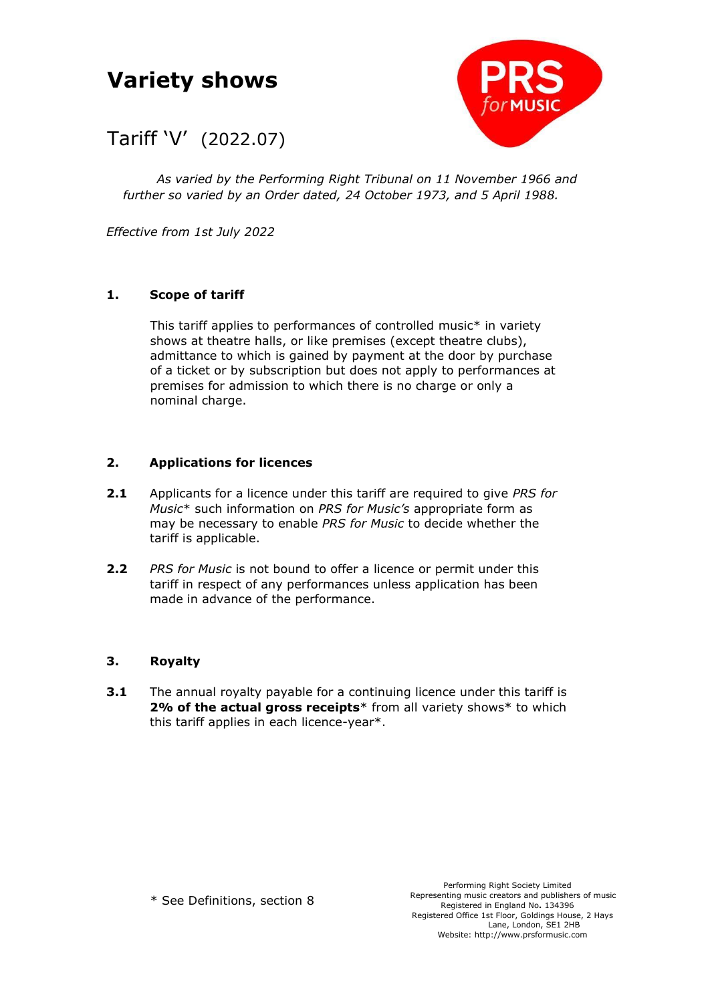# **Variety shows**



## Tariff 'V' (2022.07)

*As varied by the Performing Right Tribunal on 11 November 1966 and further so varied by an Order dated, 24 October 1973, and 5 April 1988.*

*Effective from 1st July 2022*

### **1. Scope of tariff**

This tariff applies to performances of controlled music\* in variety shows at theatre halls, or like premises (except theatre clubs), admittance to which is gained by payment at the door by purchase of a ticket or by subscription but does not apply to performances at premises for admission to which there is no charge or only a nominal charge.

#### **2. Applications for licences**

- **2.1** Applicants for a licence under this tariff are required to give *PRS for Music*\* such information on *PRS for Music's* appropriate form as may be necessary to enable *PRS for Music* to decide whether the tariff is applicable.
- **2.2** *PRS for Music* is not bound to offer a licence or permit under this tariff in respect of any performances unless application has been made in advance of the performance.

#### **3. Royalty**

**3.1** The annual royalty payable for a continuing licence under this tariff is 2% of the actual gross receipts<sup>\*</sup> from all variety shows<sup>\*</sup> to which this tariff applies in each licence-year\*.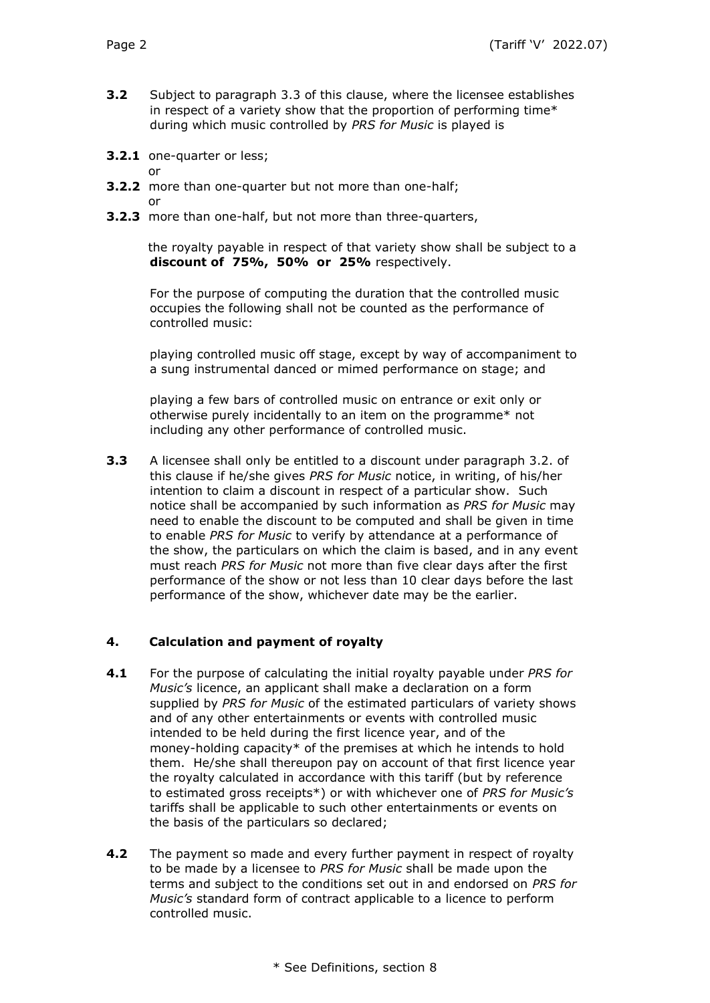- **3.2** Subject to paragraph 3.3 of this clause, where the licensee establishes in respect of a variety show that the proportion of performing time\* during which music controlled by *PRS for Music* is played is
- **3.2.1** one-quarter or less;
	- or
- **3.2.2** more than one-quarter but not more than one-half; or
- **3.2.3** more than one-half, but not more than three-quarters,

 the royalty payable in respect of that variety show shall be subject to a **discount of 75%, 50% or 25%** respectively.

For the purpose of computing the duration that the controlled music occupies the following shall not be counted as the performance of controlled music:

playing controlled music off stage, except by way of accompaniment to a sung instrumental danced or mimed performance on stage; and

playing a few bars of controlled music on entrance or exit only or otherwise purely incidentally to an item on the programme\* not including any other performance of controlled music.

**3.3** A licensee shall only be entitled to a discount under paragraph 3.2. of this clause if he/she gives *PRS for Music* notice, in writing, of his/her intention to claim a discount in respect of a particular show. Such notice shall be accompanied by such information as *PRS for Music* may need to enable the discount to be computed and shall be given in time to enable *PRS for Music* to verify by attendance at a performance of the show, the particulars on which the claim is based, and in any event must reach *PRS for Music* not more than five clear days after the first performance of the show or not less than 10 clear days before the last performance of the show, whichever date may be the earlier.

#### **4. Calculation and payment of royalty**

- **4.1** For the purpose of calculating the initial royalty payable under *PRS for Music's* licence, an applicant shall make a declaration on a form supplied by *PRS for Music* of the estimated particulars of variety shows and of any other entertainments or events with controlled music intended to be held during the first licence year, and of the money-holding capacity\* of the premises at which he intends to hold them. He/she shall thereupon pay on account of that first licence year the royalty calculated in accordance with this tariff (but by reference to estimated gross receipts\*) or with whichever one of *PRS for Music's* tariffs shall be applicable to such other entertainments or events on the basis of the particulars so declared;
- **4.2** The payment so made and every further payment in respect of royalty to be made by a licensee to *PRS for Music* shall be made upon the terms and subject to the conditions set out in and endorsed on *PRS for Music's* standard form of contract applicable to a licence to perform controlled music.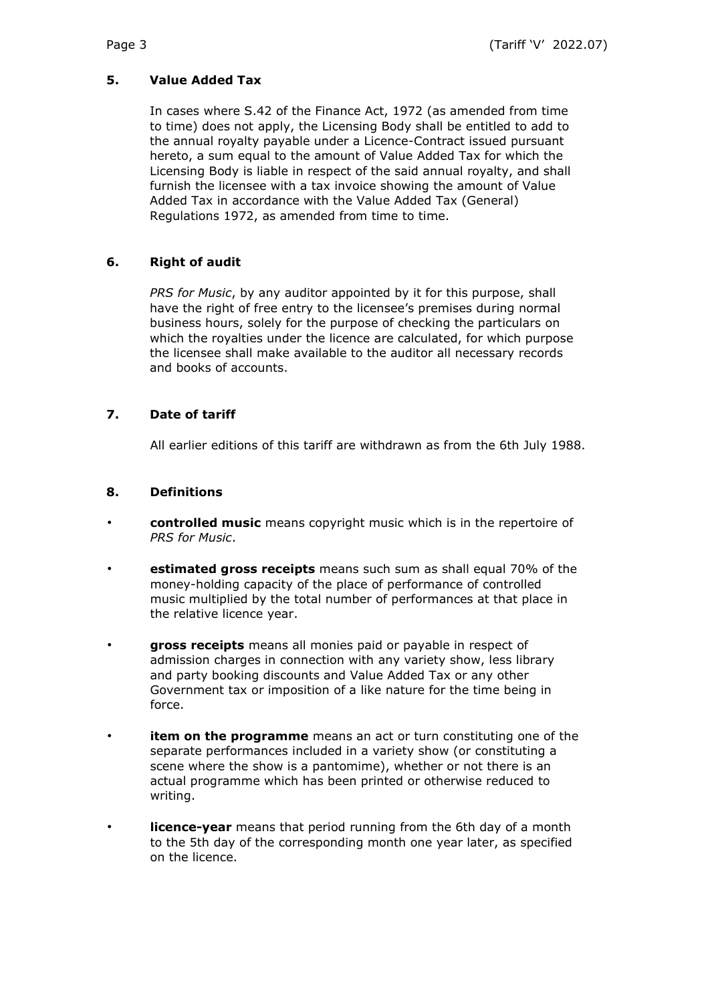#### **5. Value Added Tax**

In cases where S.42 of the Finance Act, 1972 (as amended from time to time) does not apply, the Licensing Body shall be entitled to add to the annual royalty payable under a Licence-Contract issued pursuant hereto, a sum equal to the amount of Value Added Tax for which the Licensing Body is liable in respect of the said annual royalty, and shall furnish the licensee with a tax invoice showing the amount of Value Added Tax in accordance with the Value Added Tax (General) Regulations 1972, as amended from time to time.

#### **6. Right of audit**

*PRS for Music*, by any auditor appointed by it for this purpose, shall have the right of free entry to the licensee's premises during normal business hours, solely for the purpose of checking the particulars on which the royalties under the licence are calculated, for which purpose the licensee shall make available to the auditor all necessary records and books of accounts.

#### **7. Date of tariff**

All earlier editions of this tariff are withdrawn as from the 6th July 1988.

#### **8. Definitions**

- **controlled music** means copyright music which is in the repertoire of *PRS for Music*.
- **estimated gross receipts** means such sum as shall equal 70% of the money-holding capacity of the place of performance of controlled music multiplied by the total number of performances at that place in the relative licence year.
- **gross receipts** means all monies paid or payable in respect of admission charges in connection with any variety show, less library and party booking discounts and Value Added Tax or any other Government tax or imposition of a like nature for the time being in force.
- **item on the programme** means an act or turn constituting one of the separate performances included in a variety show (or constituting a scene where the show is a pantomime), whether or not there is an actual programme which has been printed or otherwise reduced to writing.
- **licence-year** means that period running from the 6th day of a month to the 5th day of the corresponding month one year later, as specified on the licence.